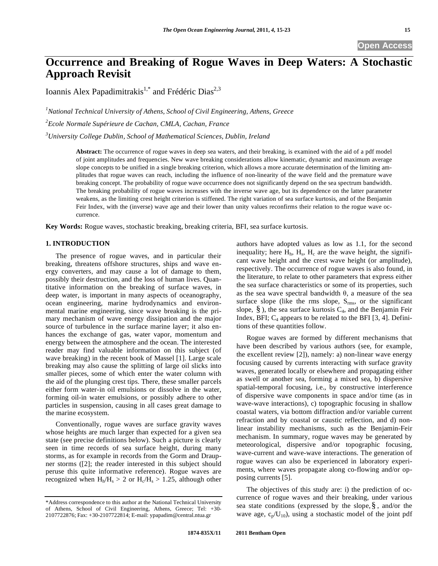# **Occurrence and Breaking of Rogue Waves in Deep Waters: A Stochastic Approach Revisit**

Ioannis Alex Papadimitrakis<sup>1,\*</sup> and Frédéric Dias<sup>2,3</sup>

*1 National Technical University of Athens, School of Civil Engineering, Athens, Greece* 

*2 Ecole Normale Supérieure de Cachan, CMLA, Cachan, France* 

*3 University College Dublin, School of Mathematical Sciences, Dublin, Ireland* 

**Abstract:** The occurrence of rogue waves in deep sea waters, and their breaking, is examined with the aid of a pdf model of joint amplitudes and frequencies. New wave breaking considerations allow kinematic, dynamic and maximum average slope concepts to be unified in a single breaking criterion, which allows a more accurate determination of the limiting amplitudes that rogue waves can reach, including the influence of non-linearity of the wave field and the premature wave breaking concept. The probability of rogue wave occurrence does not significantly depend on the sea spectrum bandwidth. The breaking probability of rogue waves increases with the inverse wave age, but its dependence on the latter parameter weakens, as the limiting crest height criterion is stiffened. The right variation of sea surface kurtosis, and of the Benjamin Feir Index, with the (inverse) wave age and their lower than unity values reconfirms their relation to the rogue wave occurrence.

**Key Words:** Rogue waves, stochastic breaking, breaking criteria, BFI, sea surface kurtosis.

# **1. INTRODUCTION**

The presence of rogue waves, and in particular their breaking, threatens offshore structures, ships and wave energy converters, and may cause a lot of damage to them, possibly their destruction, and the loss of human lives. Quantitative information on the breaking of surface waves, in deep water, is important in many aspects of oceanography, ocean engineering, marine hydrodynamics and environmental marine engineering, since wave breaking is the primary mechanism of wave energy dissipation and the major source of turbulence in the surface marine layer; it also enhances the exchange of gas, water vapor, momentum and energy between the atmosphere and the ocean. The interested reader may find valuable information on this subject (of wave breaking) in the recent book of Massel [1]. Large scale breaking may also cause the splitting of large oil slicks into smaller pieces, some of which enter the water column with the aid of the plunging crest tips. There, these smaller parcels either form water-in oil emulsions or dissolve in the water, forming oil-in water emulsions, or possibly adhere to other particles in suspension, causing in all cases great damage to the marine ecosystem.

Conventionally, rogue waves are surface gravity waves whose heights are much larger than expected for a given sea state (see precise definitions below). Such a picture is clearly seen in time records of sea surface height, during many storms, as for example in records from the Gorm and Draupner storms ([2]; the reader interested in this subject should peruse this quite informative reference). Rogue waves are recognized when  $H_h/H_s > 2$  or  $H_c/H_s > 1.25$ , although other authors have adopted values as low as 1.1, for the second inequality; here  $H<sub>h</sub>$ ,  $H<sub>s</sub>$ ,  $H<sub>c</sub>$  are the wave height, the significant wave height and the crest wave height (or amplitude), respectively. The occurrence of rogue waves is also found, in the literature, to relate to other parameters that express either the sea surface characteristics or some of its properties, such as the sea wave spectral bandwidth  $\theta$ , a measure of the sea surface slope (like the rms slope,  $S_{\rm rms}$ , or the significant slope,  $\S$ ), the sea surface kurtosis  $C_4$ , and the Benjamin Feir Index, BFI;  $C_4$  appears to be related to the BFI [3, 4]. Definitions of these quantities follow.

Rogue waves are formed by different mechanisms that have been described by various authors (see, for example, the excellent review [2]), namely: a) non-linear wave energy focusing caused by currents interacting with surface gravity waves, generated locally or elsewhere and propagating either as swell or another sea, forming a mixed sea, b) dispersive spatial-temporal focusing, i.e., by constructive interference of dispersive wave components in space and/or time (as in wave-wave interactions), c) topographic focusing in shallow coastal waters, via bottom diffraction and/or variable current refraction and by coastal or caustic reflection, and d) nonlinear instability mechanisms, such as the Benjamin-Feir mechanism. In summary, rogue waves may be generated by meteorological, dispersive and/or topographic focusing, wave-current and wave-wave interactions. The generation of rogue waves can also be experienced in laboratory experiments, where waves propagate along co-flowing and/or opposing currents [5].

The objectives of this study are: i) the prediction of occurrence of rogue waves and their breaking, under various sea state conditions (expressed by the slope,  $\S$ , and/or the wave age,  $c_p/U_{10}$ ), using a stochastic model of the joint pdf

<sup>\*</sup>Address correspondence to this author at the National Technical University of Athens, School of Civil Engineering, Athens, Greece; Tel: +30- 2107722876; Fax: +30-2107722814; E-mail: ypapadim@central.ntua.gr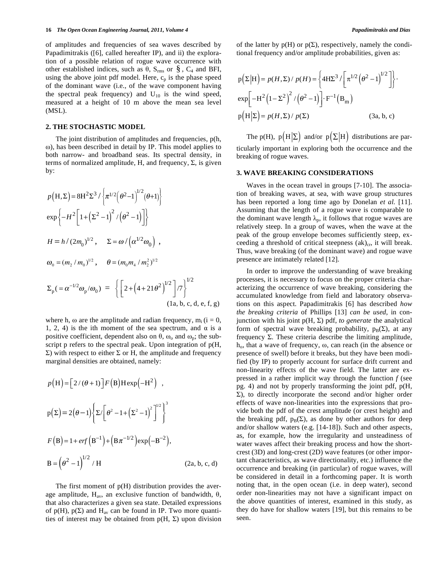of amplitudes and frequencies of sea waves described by Papadimitrakis ([6], called hereafter IP), and ii) the exploration of a possible relation of rogue wave occurrence with other established indices, such as  $\theta$ , S<sub>rms</sub> or §, C<sub>4</sub> and BFI, using the above joint pdf model. Here,  $c_p$  is the phase speed of the dominant wave (i.e., of the wave component having the spectral peak frequency) and  $U_{10}$  is the wind speed, measured at a height of 10 m above the mean sea level (MSL).

## **2. THE STOCHASTIC MODEL**

The joint distribution of amplitudes and frequencies, p(h, ), has been described in detail by IP. This model applies to both narrow- and broadband seas. Its spectral density, in terms of normalized amplitude, H, and frequency,  $\Sigma$ , is given by:

$$
p(H, \Sigma) = 8H^2 \Sigma^3 / \left\{ \pi^{1/2} (\theta^2 - 1)^{1/2} (\theta + 1) \right\}
$$
  
\n
$$
\exp \left\{ -H^2 \left[ 1 + (\Sigma^2 - 1)^2 / (\theta^2 - 1) \right] \right\}
$$
  
\n
$$
H = h / (2m_0)^{1/2}, \quad \Sigma = \omega / (\alpha^{1/2} \omega_0),
$$
  
\n
$$
\omega_0 = (m_2 / m_0)^{1/2}, \quad \theta = (m_0 m_4 / m_2^2)^{1/2}
$$
  
\n
$$
\Sigma_p ( = \alpha^{-1/2} \omega_p / \omega_0) = \left\{ \left[ 2 + (4 + 21 \theta^2)^{1/2} \right] / 7 \right\}^{1/2}
$$
  
\n(1a, b, c, d, e, f, g)

where h,  $\omega$  are the amplitude and radian frequency,  $m_i$  (i = 0, 1, 2, 4) is the ith moment of the sea spectrum, and  $\alpha$  is a positive coefficient, dependent also on  $\theta$ ,  $\omega_0$  and  $\omega_p$ ; the subscript p refers to the spectral peak. Upon integration of  $p(H,$  $\Sigma$ ) with respect to either  $\Sigma$  or H, the amplitude and frequency marginal densities are obtained, namely:

$$
p(H) = [2/(\theta + 1)]F(B)H \exp(-H^{2}),
$$
  
\n
$$
p(\Sigma) = 2(\theta - 1)\left\{\Sigma/[\theta^{2} - 1 + (\Sigma^{2} - 1)^{2}]^{1/2}\right\}^{3}
$$
  
\n
$$
F(B) = 1 + erf(B^{-1}) + (B\pi^{-1/2})exp(-B^{-2}),
$$
  
\n
$$
B = (\theta^{2} - 1)^{1/2} / H
$$
 (2a, b, c, d)

The first moment of  $p(H)$  distribution provides the average amplitude,  $H_{av}$ , an exclusive function of bandwidth,  $\theta$ , that also characterizes a given sea state. Detailed expressions of  $p(H)$ ,  $p(\Sigma)$  and  $H_{av}$  can be found in IP. Two more quantities of interest may be obtained from  $p(H, \Sigma)$  upon division of the latter by  $p(H)$  or  $p(\Sigma)$ , respectively, namely the conditional frequency and/or amplitude probabilities, given as:

$$
p(\Sigma|H) = p(H, \Sigma) / p(H) = \left\{ 4HZ^3 / \left[ \pi^{1/2} (\theta^2 - 1)^{1/2} \right] \right\}.
$$
  
\n
$$
\exp \left[ -H^2 (1 - \Sigma^2)^2 / (\theta^2 - 1) \right] \cdot F^{-1} (B_m)
$$
  
\n
$$
p(H|\Sigma) = p(H, \Sigma) / p(\Sigma)
$$
 (3a, b, c)

The p(H),  $p(H|\Sigma)$  and/or  $p(\Sigma|H)$  distributions are particularly important in exploring both the occurrence and the breaking of rogue waves.

## **3. WAVE BREAKING CONSIDERATIONS**

Waves in the ocean travel in groups [7-10]. The association of breaking waves, at sea, with wave group structures has been reported a long time ago by Donelan *et al.* [11]. Assuming that the length of a rogue wave is comparable to the dominant wave length  $\lambda_p$ , it follows that rogue waves are relatively steep. In a group of waves, when the wave at the peak of the group envelope becomes sufficiently steep, exceeding a threshold of critical steepness  $(ak)_{cr}$ , it will break. Thus, wave breaking (of the dominant wave) and rogue wave presence are intimately related [12].

In order to improve the understanding of wave breaking processes, it is necessary to focus on the proper criteria characterizing the occurrence of wave breaking, considering the accumulated knowledge from field and laboratory observations on this aspect. Papadimitrakis [6] has described *how the breaking criteria* of Phillips [13] *can be used*, in conjunction with his joint  $p(H, \Sigma)$  pdf, *to generate* the analytical form of spectral wave breaking probability,  $p_B(\Sigma)$ , at any frequency  $\Sigma$ . These criteria describe the limiting amplitude,  $h_0$ , that a wave of frequency,  $\omega$ , can reach (in the absence or presence of swell) before it breaks, but they have been modified (by IP) to properly account for surface drift current and non-linearity effects of the wave field. The latter are expressed in a rather implicit way through the function *f* (see pg. 4) and not by properly transforming the joint pdf, p(H,  $\Sigma$ ), to directly incorporate the second and/or higher order effects of wave non-linearities into the expressions that provide both the pdf of the crest amplitude (or crest height) and the breaking pdf,  $p_B(\Sigma)$ , as done by other authors for deep and/or shallow waters (e.g. [14-18]). Such and other aspects, as, for example, how the irregularity and unsteadiness of water waves affect their breaking process and how the shortcrest (3D) and long-crest (2D) wave features (or other important characteristics, as wave directionality, etc.) influence the occurrence and breaking (in particular) of rogue waves, will be considered in detail in a forthcoming paper. It is worth noting that, in the open ocean (i.e. in deep water), second order non-linearities may not have a significant impact on the above quantities of interest, examined in this study, as they do have for shallow waters [19], but this remains to be seen.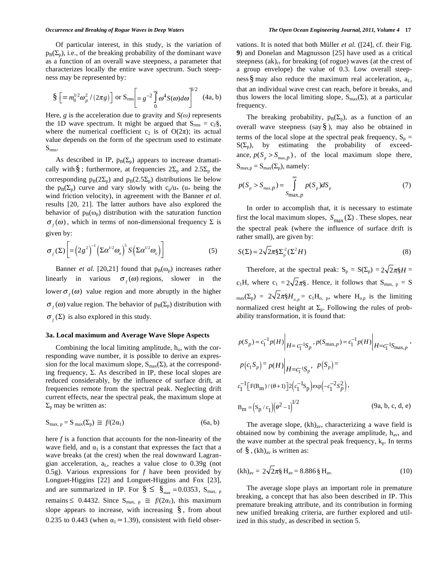Of particular interest, in this study, is the variation of  $p_B(\Sigma_p)$ , i.e., of the breaking probability of the dominant wave as a function of an overall wave steepness, a parameter that characterizes locally the entire wave spectrum. Such steepness may be represented by:

$$
\S \left[ = m_0^{1/2} \omega_p^2 / (2\pi g) \right] \text{ or } S_{\text{rms}} \left[ = g^{-2} \int_0^{\infty} \omega^4 S(\omega) d\omega \right]^{1/2} \quad (4a, b)
$$

Here, *g* is the acceleration due to gravity and  $S(\omega)$  represents the 1D wave spectrum. It might be argued that  $S_{rms} = c_2 \S$ , where the numerical coefficient  $c_2$  is of  $O(2\pi)$ ; its actual value depends on the form of the spectrum used to estimate  $S<sub>rms</sub>$ .

As described in IP,  $p_B(\Sigma_p)$  appears to increase dramatically with §; furthermore, at frequencies  $2\Sigma_p$  and  $2.5\Sigma_p$  the corresponding  $p_B(2\Sigma_p)$  and  $p_B(2.5\Sigma_p)$  distributions lie below the  $p_B(\Sigma_p)$  curve and vary slowly with  $c_p/u_*$  (u<sub>\*</sub> being the wind friction velocity), in agreement with the Banner *et al.*  results [20, 21]. The latter authors have also explored the behavior of  $p_B(\omega_p)$  distribution with the saturation function  $\sigma_f(\omega)$ , which in terms of non-dimensional frequency  $\Sigma$  is given by:

$$
\sigma_f(\Sigma) \left[ = \left(2g^2\right)^{-1} \left(\Sigma \alpha^{1/2} \omega_o\right)^5 S \left(\Sigma \alpha^{1/2} \omega_o\right) \right] \tag{5}
$$

Banner *et al.* [20,21] found that  $p_B(\omega_p)$  increases rather linearly in various  $\sigma_f(\omega)$  regions, slower in the lower  $\sigma_f(\omega)$  value region and more abruptly in the higher  $\sigma_f(\omega)$  value region. The behavior of  $p_B(\Sigma_p)$  distribution with  $\sigma_f(\Sigma)$  is also explored in this study.

## **3a. Local maximum and Average Wave Slope Aspects**

Combining the local limiting amplitude,  $h_0$ , with the corresponding wave number, it is possible to derive an expression for the local maximum slope,  $S_{max}(\Sigma)$ , at the corresponding frequency,  $\Sigma$ . As described in IP, these local slopes are reduced considerably, by the influence of surface drift, at frequencies remote from the spectral peak. Neglecting drift current effects, near the spectral peak, the maximum slope at  $\Sigma_{\rm p}$  may be written as:

$$
S_{\max, p} = S_{\max}(\Sigma_p) \cong f/(2\alpha_1) \tag{6a, b}
$$

here *f* is a function that accounts for the non-linearity of the wave field, and  $\alpha_1$  is a constant that expresses the fact that a wave breaks (at the crest) when the real downward Lagrangian acceleration,  $a<sub>L</sub>$ , reaches a value close to 0.39g (not 0.5g). Various expressions for *f* have been provided by Longuet-Higgins [22] and Longuet-Higgins and Fox [23], and are summarized in IP. For  $\S \leq \S_{\text{max}} = 0.0353$ ,  $S_{\text{max}}$ , p remains  $\leq 0.4432$ . Since S<sub>max, p</sub>  $\cong f/(2\alpha_1)$ , this maximum slope appears to increase, with increasing  $\S$ , from about 0.235 to 0.443 (when  $\alpha_1 \approx 1.39$ ), consistent with field observations. It is noted that both Müller *et al.* ([24], cf. their Fig. **9**) and Donelan and Magnusson [25] have used as a critical steepness  $(ak)_{cr}$  for breaking (of rogue) waves (at the crest of a group envelope) the value of 0.3. Low overall steepness  $\S$  may also reduce the maximum real acceleration,  $a_L$ , that an individual wave crest can reach, before it breaks, and thus lowers the local limiting slope,  $S_{max}(\Sigma)$ , at a particular frequency.

The breaking probability,  $p_B(\Sigma_p)$ , as a function of an overall wave steepness (say  $\S$ ), may also be obtained in terms of the local slope at the spectral peak frequency,  $S_p =$  $S(\Sigma_p)$ , by estimating the probability of exceedance,  $p(S_p > S_{\text{max},p})$ , of the local maximum slope there,  $S_{\text{max,p}} = S_{\text{max}}(\Sigma_p)$ , namely:

$$
p(S_p > S_{\max, p}) = \int_{S_{\max, p}}^{\infty} p(S_p) dS_p
$$
 (7)

In order to accomplish that, it is necessary to estimate first the local maximum slopes,  $S_{\text{max}}(\Sigma)$ . These slopes, near the spectral peak (where the influence of surface drift is rather small), are given by:

$$
S(\Sigma) = 2\sqrt{2}\pi \S \Sigma_p^2 (\Sigma^2 H) \tag{8}
$$

Therefore, at the spectral peak:  $S_p = S(\Sigma_p) = 2\sqrt{2\pi}M =$  $c_1H$ , where  $c_1 = 2\sqrt{2}\pi\S$ . Hence, it follows that  $S_{\text{max, p}} = S$  $_{\text{max}}(\Sigma_{\text{p}}) = 2\sqrt{2\pi}H_{\text{o},p} = c_1H_{\text{o},p}$ , where  $H_{\text{o},p}$  is the limiting normalized crest height at  $\Sigma_p$ . Following the rules of probability transformation, it is found that:

$$
p(S_p) = c_1^{-1} p(H) \Big|_{H = c_1^{-1}S_p}, p(S_{\max,p}) = c_1^{-1} p(H) \Big|_{H = c_1^{-1}S_{\max,p}},
$$
  
\n
$$
p(c_1 S_p) = p(H) \Big|_{H = c_1^{-1}S_p}, p(S_p) = c_1^{-1} [F(B_m) / (\theta + 1)] 2 (c_1^{-1} S_p) \exp(-c_1^{-2} S_p^2),
$$
  
\n
$$
B_m = (S_p / c_1) (\theta^2 - 1)^{1/2}
$$
(9a, b, c, d, e)

The average slope,  $(kh)_{av}$ , characterizing a wave field is obtained now by combining the average amplitude,  $h_{av}$ , and the wave number at the spectral peak frequency,  $k_p$ . In terms of  $\S$ ,  $(kh)_{av}$  is written as:

$$
(kh)_{av} = 2\sqrt{2}\pi \S H_{av} = 8.886 \S H_{av}.
$$
 (10)

The average slope plays an important role in premature breaking, a concept that has also been described in IP. This premature breaking attribute, and its contribution in forming new unified breaking criteria, are further explored and utilized in this study, as described in section 5.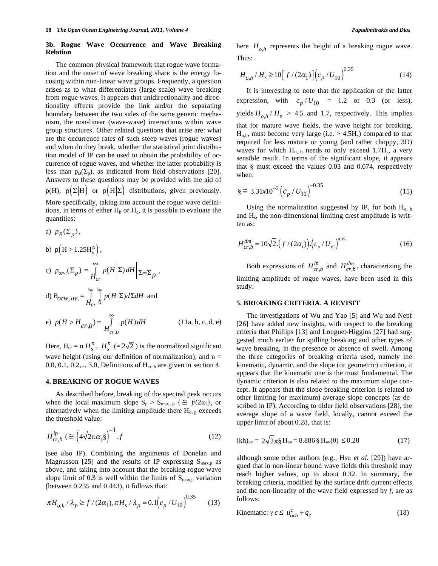## **3b. Rogue Wave Occurrence and Wave Breaking Relation**

The common physical framework that rogue wave formation and the onset of wave breaking share is the energy focusing within non-linear wave groups. Frequently, a question arises as to what differentiates (large scale) wave breaking from rogue waves. It appears that unidirectionality and directionality effects provide the link and/or the separating boundary between the two sides of the same generic mechanism, the non-linear (wave-wave) interactions within wave group structures. Other related questions that arise are: what are the occurrence rates of such steep waves (rogue waves) and when do they break, whether the statistical joint distribution model of IP can be used to obtain the probability of occurrence of rogue waves, and whether the latter probability is less than  $p_B(\Sigma_p)$ , as indicated from field observations [20]. Answers to these questions may be provided with the aid of  $p(H)$ ,  $p(\Sigma | H)$  or  $p(H | \Sigma)$  distributions, given previously. More specifically, taking into account the rogue wave definitions, in terms of either  $H<sub>h</sub>$  or  $H<sub>c</sub>$ , it is possible to evaluate the quantities:

a) 
$$
p_B(\Sigma_p)
$$
,  
\nb)  $p(H > 1.25H_s^n)$ ,  
\nc)  $p_{orw}(\Sigma_p) = \int_{H_{cr}}^{\infty} p(H|\Sigma) dH |_{\Sigma = \Sigma_p}$ ,  
\nd)  $B_{orw, av} = \int_{H_{cr}}^{\infty} \int_{0}^{\infty} p(H|\Sigma) d\Sigma dH$  and  
\ne)  $p(H > H_{cr,b}) = \int_{H_{cr,b}}^{\infty} p(H) dH$  (11a, b, c, d, e)

Here,  $H_{cr} = n H_s^n$ ,  $H_s^n (= 2\sqrt{2})$  is the normalized significant wave height (using our definition of normalization), and  $n =$ 0.0, 0.1, 0.2,.., 3.0, Definitions of  $H_{cr, b}$  are given in section 4.

## **4. BREAKING OF ROGUE WAVES**

As described before, breaking of the spectral peak occurs when the local maximum slope  $S_p > S_{max, p} \{ \equiv f/(2\alpha_1), \text{ or }$ alternatively when the limiting amplitude there  $H_{o, p}$  exceeds the threshold value:

$$
H_{cr,b}^{ip} \left(\equiv \left(4\sqrt{2}\pi \alpha_1^{\ \ 8}\right)^{-1}.f\right) \tag{12}
$$

(see also IP). Combining the arguments of Donelan and Magnusson [25] and the results of IP expressing  $S_{\text{max,p}}$  as above, and taking into account that the breaking rogue wave slope limit of 0.3 is well within the limits of  $S_{\text{max,p}}$  variation (between 0.235 and 0.443), it follows that:

$$
\pi H_{o,h} / \lambda_p \ge f / (2\alpha_1), \pi H_s / \lambda_p = 0.1 (c_p / U_{10})^{0.35}
$$
 (13)

here  $H_{oh}$  represents the height of a breaking rogue wave. Thus:

$$
H_{o,h} / H_s \ge 10 \Big[ f / (2\alpha_1) \Big] \Big( c_p / U_{10} \Big)^{0.35} \tag{14}
$$

It is interesting to note that the application of the latter expression, with  $c_p/U_{10} = 1.2$  or 0.3 (or less), yields  $H_{o,h}$  /  $H_s$  > 4.5 and 1.7, respectively. This implies that for mature wave fields, the wave height for breaking,  $H<sub>o,h</sub>$ , must become very large (i.e.  $> 4.5H<sub>s</sub>$ ) compared to that required for less mature or young (and rather choppy, 3D) waves for which  $H_{o, h}$  needs to only exceed 1.7 $H_s$ , a very sensible result. In terms of the significant slope, it appears that § must exceed the values 0.03 and 0.074, respectively when:

$$
\S \cong 3.31x10^{-2} \Big( c_p / U_{10} \Big)^{-0.35} \tag{15}
$$

Using the normalization suggested by IP, for both  $H_{o, h}$ and  $H_s$ , the non-dimensional limiting crest amplitude is written as:

$$
H_{cr,b}^{dm} = 10\sqrt{2} \left( f / (2\alpha_1) \right) \left( c_p / U_{10} \right)^{0.35}
$$
 (16)

Both expressions of  $H_{cr,b}^{ip}$  and  $H_{cr,b}^{dm}$ , characterizing the limiting amplitude of rogue waves, have been used in this study.

## **5. BREAKING CRITERIA. A REVISIT**

The investigations of Wu and Yao [5] and Wu and Nepf [26] have added new insights, with respect to the breaking criteria that Phillips [13] and Longuet-Higgins [27] had suggested much earlier for spilling breaking and other types of wave breaking, in the presence or absence of swell. Among the three categories of breaking criteria used, namely the kinematic, dynamic, and the slope (or geometric) criterion, it appears that the kinematic one is the most fundamental. The dynamic criterion is also related to the maximum slope concept. It appears that the slope breaking criterion is related to other limiting (or maximum) average slope concepts (as described in IP). According to older field observations [28], the average slope of a wave field, locally, cannot exceed the upper limit of about 0.28, that is:

$$
(kh)_{av} = 2\sqrt{2}\pi \mathcal{S} H_{av} = 8.886 \mathcal{S} H_{av}(\theta) \le 0.28
$$
 (17)

although some other authors (e.g., Hsu *et al.* [29]) have argued that in non-linear bound wave fields this threshold may reach higher values, up to about 0.32. In summary, the breaking criteria, modified by the surface drift current effects and the non-linearity of the wave field expressed by *f*, are as follows:

$$
\text{Kinematic: } \gamma c \le u_{orb}^c + q_c \tag{18}
$$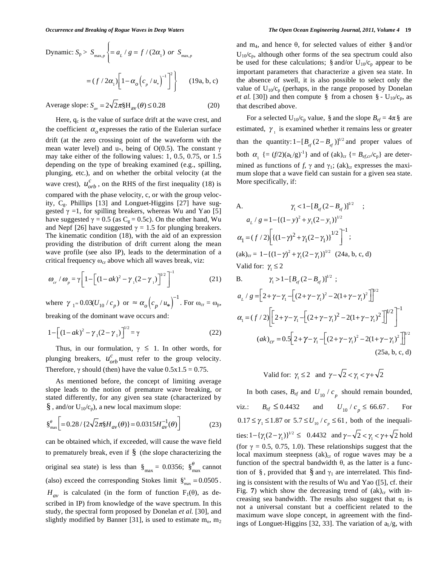Dynamic: 
$$
S_p > S_{\max,p} \left\{ = a_L / g = f / (2\alpha_1) \text{ or } S_{\max,p}
$$
  

$$
= (f / 2\alpha_1) \left[ 1 - \alpha_o \left( c_p / u_* \right)^{-1} \right]^2 \right\} \qquad (19a, b, c)
$$

Average slope:  $S_{av} = 2\sqrt{2\pi} H_{av}(\theta) \le 0.28$  (20)

Here,  $q_c$  is the value of surface drift at the wave crest, and the coefficient  $\alpha$ <sub>o</sub> expresses the ratio of the Eulerian surface drift (at the zero crossing point of the waveform with the mean water level) and  $u_*$ , being of O(0.5). The constant  $\gamma$ may take either of the following values: 1, 0.5, 0.75, or 1.5 depending on the type of breaking examined (e.g., spilling, plunging, etc.), and on whether the orbital velocity (at the wave crest),  $u_{orb}^c$ , on the RHS of the first inequality (18) is compared with the phase velocity, c, or with the group velocity,  $C_{g}$ . Phillips [13] and Longuet-Higgins [27] have suggested  $\gamma = 1$ , for spilling breakers, whereas Wu and Yao [5] have suggested  $\gamma = 0.5$  (as C<sub>g</sub> = 0.5c). On the other hand, Wu and Nepf [26] have suggested  $\gamma = 1.5$  for plunging breakers. The kinematic condition (18), with the aid of an expression providing the distribution of drift current along the mean wave profile (see also IP), leads to the determination of a critical frequency  $\omega_{cr}$  above which all waves break, viz:

$$
\omega_{cr} / \omega_{p} = \gamma \bigg[ 1 - \bigg[ (1 - ak)^{2} - \gamma_{1} (2 - \gamma_{1}) \bigg]^{1/2} \bigg]^{-1}
$$
 (21)

where  $\gamma_1 \approx 0.03(U_{10}/c_p)$  or  $\approx \alpha_o (c_p/u_*)^{-1}$ . For  $\omega_{cr} = \omega_p$ , breaking of the dominant wave occurs and:

$$
1 - \left[ (1 - ak)^2 - \gamma_1 (2 - \gamma_1) \right]^{1/2} = \gamma
$$
 (22)

Thus, in our formulation,  $\gamma \leq 1$ . In other words, for plunging breakers,  $u_{orb}^c$  must refer to the group velocity. Therefore,  $\gamma$  should (then) have the value  $0.5x1.5 = 0.75$ .

As mentioned before, the concept of limiting average slope leads to the notion of premature wave breaking, or stated differently, for any given sea state (characterized by  $\S$ , and/or  $U_{10}/c_p$ ), a new local maximum slope:

$$
\S_{\text{max}}^{\theta} \bigg[ = 0.28 / \{ 2\sqrt{2}\pi \S H_{av}(\theta) \} = 0.0315 H_{av}^{-1}(\theta) \bigg]
$$
 (23)

can be obtained which, if exceeded, will cause the wave field to prematurely break, even if  $\S$  (the slope characterizing the original sea state) is less than  $\delta_{\text{max}} = 0.0356$ ;  $\delta_{\text{max}}^{\theta}$  cannot (also) exceed the corresponding Stokes limit  $\hat{\S}_{\text{max}}^s = 0.0505$ .  $H_{av}$  is calculated (in the form of function F<sub>1</sub>( $\theta$ ), as described in IP) from knowledge of the wave spectrum. In this study, the spectral form proposed by Donelan *et al.* [30], and slightly modified by Banner [31], is used to estimate  $m_0$ ,  $m_2$ 

and m<sub>4</sub>, and hence  $\theta$ , for selected values of either § and/or  $U_{10}/c_p$ , although other forms of the sea spectrum could also be used for these calculations; § and/or  $U_{10}/c_p$  appear to be important parameters that characterize a given sea state. In the absence of swell, it is also possible to select only the value of  $U_{10}/c_p$  (perhaps, in the range proposed by Donelan *et al.* [30]) and then compute § from a chosen § -  $U_{10}/c_p$ , as that described above.

For a selected  $U_{10}/c_p$  value, § and the slope  $B_{ef} = 4\pi$  § are estimated,  $\gamma_1$  is examined whether it remains less or greater than the quantity:  $1-[B_{ef}(2-B_{ef})]^{1/2}$  and proper values of both  $\alpha_1$  {=  $(f/2)(a_L/g)^{-1}$ } and of  $(ak)_{cr}$  {=  $B_{ef,cr}/c_p$ } are determined as functions of f,  $\gamma$  and  $\gamma_1$ ; (ak)<sub>cr</sub> expresses the maximum slope that a wave field can sustain for a given sea state. More specifically, if:

A. 
$$
\gamma_1 < 1 - [B_{ef}(2 - B_{ef})]^{1/2}
$$
 ;  
\n $a_L / g = 1 - \{(1 - y)^2 + y_1(2 - y_1)\}^{1/2}$   
\n $\alpha_1 = (f / 2) \Big[ \{(1 - \gamma)^2 + \gamma_1(2 - \gamma_1)\}^{1/2} \Big]^{-1}$  ;  
\n(ak)<sub>cr</sub> =  $1 - \{(1 - \gamma)^2 + \gamma_1(2 - \gamma_1)\}^{1/2}$  (24a, b, c, d)  
\nValid for:  $\gamma_1 \le 2$   
\nB.  $\gamma_1 > 1 - [B_{ef}(2 - B_{ef})]^{1/2}$ ;

$$
a_{L} / g = \left[ 2 + \gamma - \gamma_{1} - \left[ (2 + \gamma - \gamma_{1})^{2} - 2(1 + \gamma - \gamma_{1})^{2} \right] \right]^{1/2}
$$
  
\n
$$
\alpha_{1} = (f / 2) \left[ \left[ 2 + \gamma - \gamma_{1} - \left[ (2 + \gamma - \gamma_{1})^{2} - 2(1 + \gamma - \gamma_{1})^{2} \right] \right]^{1/2} \right]^{-1}
$$
  
\n
$$
(ak)_{cr} = 0.5 \left[ 2 + \gamma - \gamma_{1} - \left[ (2 + \gamma - \gamma_{1})^{2} - 2(1 + \gamma - \gamma_{1})^{2} \right] \right]^{1/2}
$$
  
\n(25a, b, c, d)

$$
Valiid for: \ \gamma_1 \le 2 \quad \text{and} \ \ \gamma - \sqrt{2} < \gamma_1 < \gamma + \sqrt{2}
$$

In both cases,  $B_{ef}$  and  $U_{10}/c_p$  should remain bounded, viz.:  $B_{ef} \le 0.4432$  and  $U_{10} / c_p \le 66.67$ . For  $0.17 \leq \gamma_1 \leq 1.87$  or  $5.7 \leq U_{10} / c_p \leq 61$ , both of the inequalities:  $1 - {\gamma_1 (2 - \gamma_1)}^{1/2} \le 0.4432$  and  $\gamma - \sqrt{2} < \gamma_1 < \gamma + \sqrt{2}$  hold (for  $\gamma = 0.5, 0.75, 1.0$ ). These relationships suggest that the local maximum steepness  $(ak)_{cr}$  of rogue waves may be a function of the spectral bandwidth  $\theta$ , as the latter is a function of §, provided that § and  $\gamma_1$  are interrelated. This finding is consistent with the results of Wu and Yao ([5], cf. their Fig.  $7$ ) which show the decreasing trend of  $(ak)_{cr}$  with increasing sea bandwidth. The results also suggest that  $\alpha_1$  is not a universal constant but a coefficient related to the maximum wave slope concept, in agreement with the findings of Longuet-Higgins [32, 33]. The variation of  $a_L/g$ , with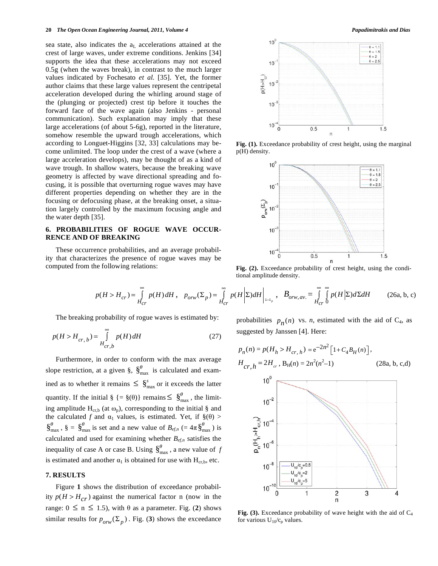sea state, also indicates the  $a<sub>L</sub>$  accelerations attained at the crest of large waves, under extreme conditions. Jenkins [34] supports the idea that these accelerations may not exceed 0.5g (when the waves break), in contrast to the much larger values indicated by Fochesato *et al.* [35]. Yet, the former author claims that these large values represent the centripetal acceleration developed during the whirling around stage of the (plunging or projected) crest tip before it touches the forward face of the wave again (also Jenkins - personal communication). Such explanation may imply that these large accelerations (of about 5-6g), reported in the literature, somehow resemble the upward trough accelerations, which according to Longuet-Higgins [32, 33] calculations may become unlimited. The loop under the crest of a wave (where a large acceleration develops), may be thought of as a kind of wave trough. In shallow waters, because the breaking wave geometry is affected by wave directional spreading and focusing, it is possible that overturning rogue waves may have different properties depending on whether they are in the focusing or defocusing phase, at the breaking onset, a situation largely controlled by the maximum focusing angle and the water depth [35].

## **6. PROBABILITIES OF ROGUE WAVE OCCUR-RENCE AND OF BREAKING**

These occurrence probabilities, and an average probability that characterizes the presence of rogue waves may be computed from the following relations:



Fig. (1). Exceedance probability of crest height, using the marginal p(H) density.



**Fig. (2).** Exceedance probability of crest height, using the conditional amplitude density.

$$
p(H > H_{cr}) = \int_{H_{cr}}^{\infty} p(H) dH, \quad p_{orw}(\Sigma_p) = \int_{H_{cr}}^{\infty} p(H \left| \Sigma \right) dH \Big|_{z=z_p}, \quad B_{orw,av} = \int_{H_{cr}}^{\infty} \int_{0}^{\infty} p(H \left| \Sigma \right) d\Sigma dH \tag{26a, b, c}
$$

The breaking probability of rogue waves is estimated by:

$$
p(H > H_{cr,b}) = \int_{Hcr,b}^{\infty} p(H) \, dH \tag{27}
$$

Furthermore, in order to conform with the max average slope restriction, at a given §,  $\S_{\text{max}}^{\theta}$  is calculated and examined as to whether it remains  $\leq \S_{\text{max}}^s$  or it exceeds the latter quantity. If the initial  $\S = \S(\theta)$  remains  $\leq \S_{\text{max}}^{\theta}$ , the limiting amplitude  $H_{cr,b}$  (at  $\omega_p$ ), corresponding to the initial § and the calculated f and  $\alpha_1$  values, is estimated. Yet, if  $\S(\theta)$  >  $\S_{\text{max}}^{\theta}$ ,  $\S = \S_{\text{max}}^{\theta}$  is set and a new value of  $B_{e f,n}$  (=  $4\pi \S_{\text{max}}^{\theta}$ ) is calculated and used for examining whether  $B_{ef,n}$  satisfies the inequality of case A or case B. Using  $\int_{max}^{\theta}$ , a new value of *f* is estimated and another  $\alpha_1$  is obtained for use with H<sub>cr,b</sub>, etc.

# **7. RESULTS**

Figure **1** shows the distribution of exceedance probability  $p(H > H_{cr})$  against the numerical factor n (now in the range:  $0 \le n \le 1.5$ ), with  $\theta$  as a parameter. Fig. (2) shows similar results for  $p_{orw}(\Sigma_p)$ . Fig. (3) shows the exceedance probabilities  $p_n(n)$  vs. *n*, estimated with the aid of  $C_4$ , as suggested by Janssen [4]. Here:

$$
p_n(n) = p(H_h > H_{cr,h}) = e^{-2n^2} \left[ 1 + C_4 B_H(n) \right],
$$
  
\n
$$
H_{cr,h} = 2H_{cr}, B_H(n) = 2n^2(n^2 - 1)
$$
 (28a, b, c,d)



**Fig. (3).** Exceedance probability of wave height with the aid of  $C_4$ for various  $U_{10}/c_p$  values.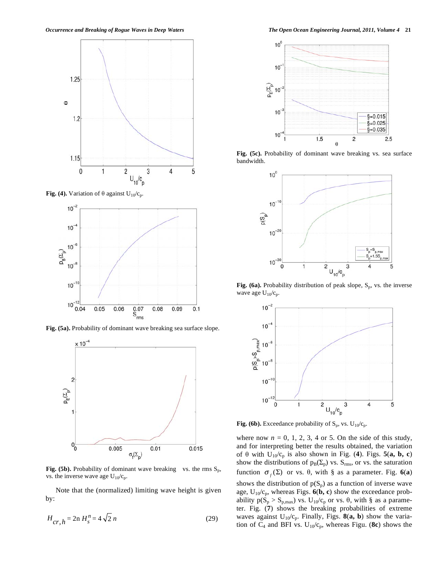

**Fig. (4).** Variation of  $\theta$  against  $U_{10}/c_p$ .



**Fig. (5a).** Probability of dominant wave breaking sea surface slope.



**Fig. (5b).** Probability of dominant wave breaking vs. the rms  $S_p$ , vs. the inverse wave age  $U_{10}/c_p$ .

Note that the (normalized) limiting wave height is given by:

$$
H_{cr,h} = 2n \, H_s^n = 4\sqrt{2} \, n \tag{29}
$$

*Occurrence and Breaking of Rogue Waves in Deep Waters The Open Ocean Engineering Journal, 2011, Volume 4* **21**



**Fig. (5c).** Probability of dominant wave breaking vs. sea surface bandwidth.



Fig. (6a). Probability distribution of peak slope, S<sub>p</sub>, vs. the inverse wave age  $U_{10}/c_p$ .



**Fig. (6b).** Exceedance probability of  $S_p$ , vs.  $U_{10}/c_p$ .

where now  $n = 0, 1, 2, 3, 4$  or 5. On the side of this study, and for interpreting better the results obtained, the variation of  $\theta$  with  $U_{10}/c_p$  is also shown in Fig. (4). Figs. 5(a, b, c) show the distributions of  $p_B(\Sigma_p)$  vs.  $S_{rms}$ , or vs. the saturation function  $\sigma_f(\Sigma)$  or vs.  $\theta$ , with § as a parameter. Fig. 6(a) shows the distribution of  $p(S_p)$  as a function of inverse wave age,  $U_{10}/c_p$ , whereas Figs.  $6(b, c)$  show the exceedance probability  $p(S_p > S_{p, max})$  vs.  $U_{10}/c_p$  or vs.  $\theta$ , with § as a parameter. Fig. (**7**) shows the breaking probabilities of extreme waves against  $U_{10}/c_p$ . Finally, Figs. **8(a, b)** show the variation of  $C_4$  and BFI vs.  $U_{10}/c_p$ , whereas Figu. (8c) shows the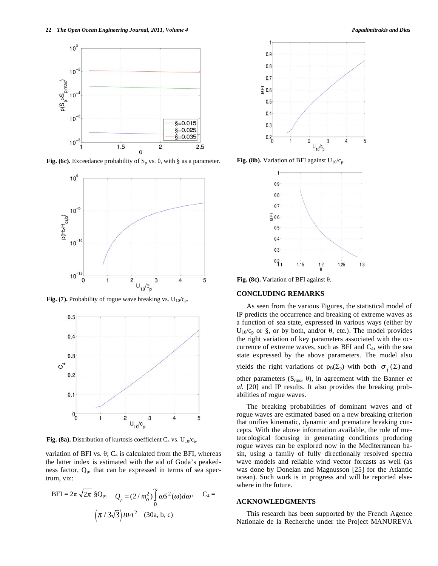

**Fig. (6c).** Exceedance probability of  $S_p$  vs.  $\theta$ , with § as a parameter.



**Fig. (7).** Probability of rogue wave breaking vs.  $U_{10}/c_p$ .



**Fig. (8a).** Distribution of kurtosis coefficient  $C_4$  vs.  $U_{10}/c_p$ .

variation of BFI vs.  $\theta$ ; C<sub>4</sub> is calculated from the BFI, whereas the latter index is estimated with the aid of Goda's peakedness factor,  $Q_p$ , that can be expressed in terms of sea spectrum, viz:

$$
BFI = 2\pi \sqrt{2\pi} \S Q_p, \quad Q_p = (2/m_o^2) \int_0^{\infty} \omega S^2(\omega) d\omega, \quad C_4 = \left(\pi / 3\sqrt{3}\right) BFI^2 \quad (30a, b, c)
$$





**Fig. (8b).** Variation of BFI against  $U_{10}/c_p$ .



Fig. (8c). Variation of BFI against  $\theta$ .

## **CONCLUDING REMARKS**

As seen from the various Figures, the statistical model of IP predicts the occurrence and breaking of extreme waves as a function of sea state, expressed in various ways (either by  $U_{10}/c_p$  or §, or by both, and/or  $\theta$ , etc.). The model provides the right variation of key parameters associated with the occurrence of extreme waves, such as BFI and  $C_4$ , with the sea state expressed by the above parameters. The model also yields the right variations of  $p_B(\Sigma_p)$  with both  $\sigma_f(\Sigma)$  and other parameters  $(S_{rms}, \theta)$ , in agreement with the Banner *et al.* [20] and IP results. It also provides the breaking probabilities of rogue waves.

The breaking probabilities of dominant waves and of rogue waves are estimated based on a new breaking criterion that unifies kinematic, dynamic and premature breaking concepts. With the above information available, the role of meteorological focusing in generating conditions producing rogue waves can be explored now in the Mediterranean basin, using a family of fully directionally resolved spectra wave models and reliable wind vector forcasts as well (as was done by Donelan and Magnusson [25] for the Atlantic ocean). Such work is in progress and will be reported elsewhere in the future.

## **ACKNOWLEDGMENTS**

This research has been supported by the French Agence Nationale de la Recherche under the Project MANUREVA